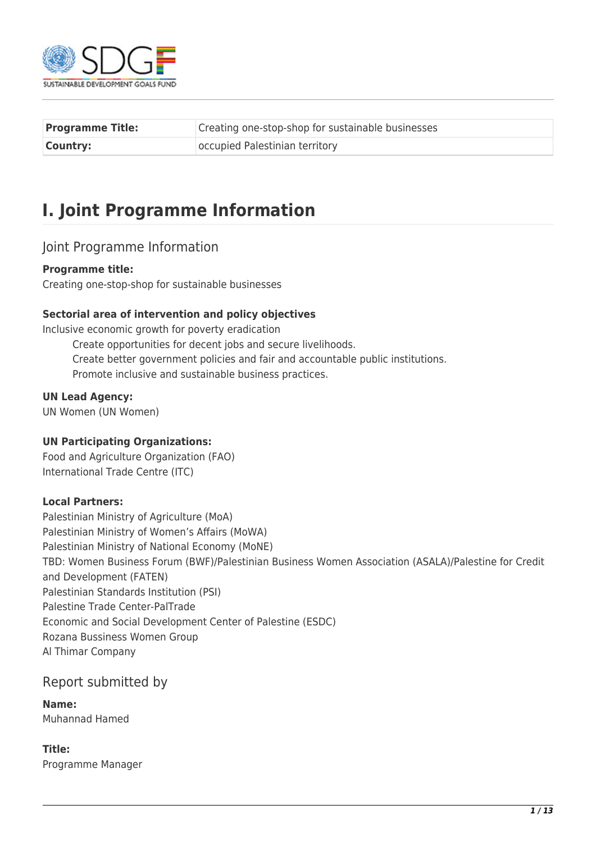

| <b>Programme Title:</b> | Creating one-stop-shop for sustainable businesses |
|-------------------------|---------------------------------------------------|
| <b>Country:</b>         | occupied Palestinian territory                    |

# **I. Joint Programme Information**

### Joint Programme Information

#### **Programme title:**

Creating one-stop-shop for sustainable businesses

#### **Sectorial area of intervention and policy objectives**

Inclusive economic growth for poverty eradication Create opportunities for decent jobs and secure livelihoods. Create better government policies and fair and accountable public institutions. Promote inclusive and sustainable business practices.

#### **UN Lead Agency:**

UN Women (UN Women)

#### **UN Participating Organizations:**

Food and Agriculture Organization (FAO) International Trade Centre (ITC)

#### **Local Partners:**

Palestinian Ministry of Agriculture (MoA) Palestinian Ministry of Women's Affairs (MoWA) Palestinian Ministry of National Economy (MoNE) TBD: Women Business Forum (BWF)/Palestinian Business Women Association (ASALA)/Palestine for Credit and Development (FATEN) Palestinian Standards Institution (PSI) Palestine Trade Center-PalTrade Economic and Social Development Center of Palestine (ESDC) Rozana Bussiness Women Group Al Thimar Company

### Report submitted by

**Name:**  Muhannad Hamed

#### **Title:**

Programme Manager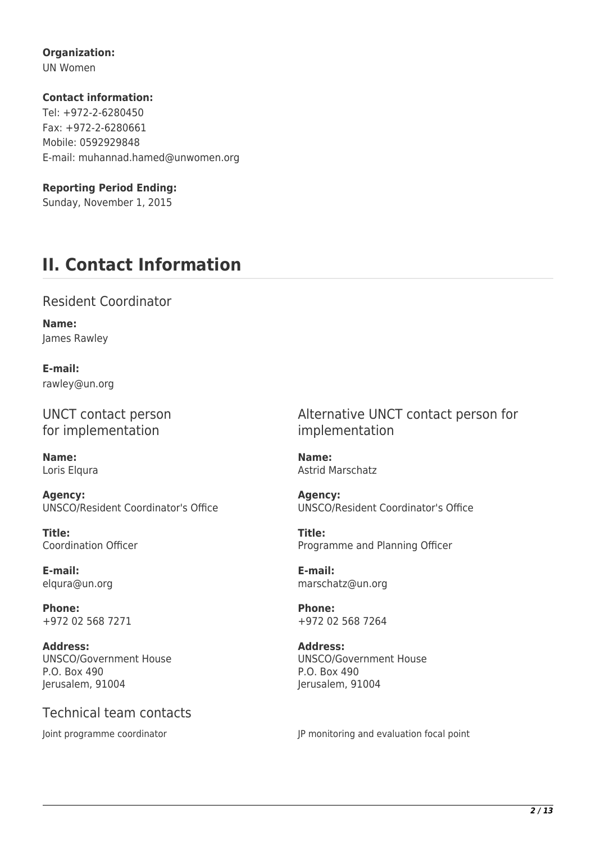### **Organization:**

UN Women

### **Contact information:**

Tel: +972-2-6280450 Fax: +972-2-6280661 Mobile: 0592929848 E-mail: muhannad.hamed@unwomen.org

### **Reporting Period Ending:**

Sunday, November 1, 2015

# **II. Contact Information**

### Resident Coordinator

**Name:**  James Rawley

**E-mail:**  rawley@un.org

UNCT contact person for implementation

**Name:**  Loris Elqura

**Agency:**  UNSCO/Resident Coordinator's Office

**Title:**  Coordination Officer

**E-mail:**  elqura@un.org

**Phone:**  +972 02 568 7271

**Address:**  UNSCO/Government House P.O. Box 490 Jerusalem, 91004

## Technical team contacts

Alternative UNCT contact person for implementation

**Name:**  Astrid Marschatz

**Agency:**  UNSCO/Resident Coordinator's Office

**Title:**  Programme and Planning Officer

**E-mail:**  marschatz@un.org

**Phone:**  +972 02 568 7264

**Address:**  UNSCO/Government House P.O. Box 490 Jerusalem, 91004

Joint programme coordinator **JP** monitoring and evaluation focal point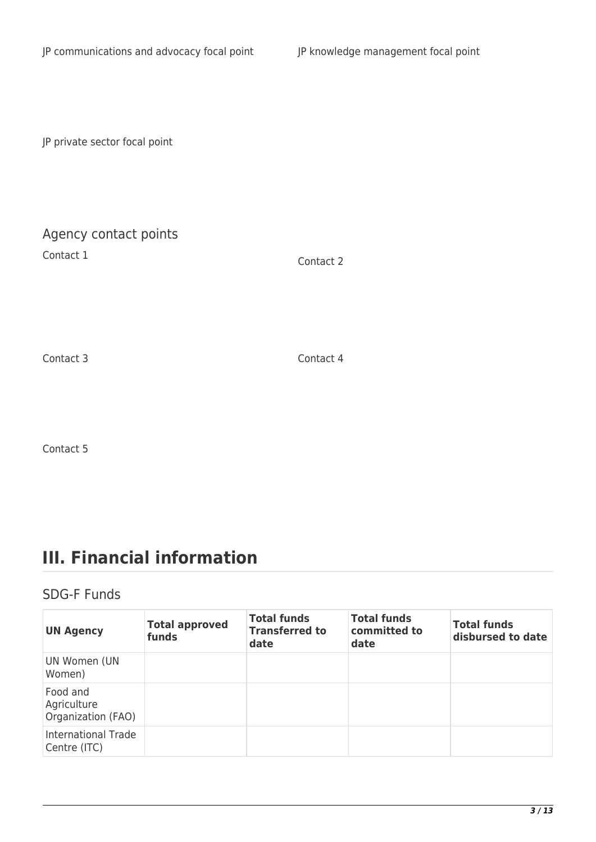JP private sector focal point

## Agency contact points

Contact 1 Contact 2

Contact 3 Contact 4

Contact 5

# **III. Financial information**

### SDG-F Funds

| <b>UN Agency</b>                              | <b>Total approved</b><br>funds | <b>Total funds</b><br><b>Transferred to</b><br>date | <b>Total funds</b><br>committed to<br>date | <b>Total funds</b><br>disbursed to date |
|-----------------------------------------------|--------------------------------|-----------------------------------------------------|--------------------------------------------|-----------------------------------------|
| UN Women (UN<br>Women)                        |                                |                                                     |                                            |                                         |
| Food and<br>Agriculture<br>Organization (FAO) |                                |                                                     |                                            |                                         |
| <b>International Trade</b><br>Centre (ITC)    |                                |                                                     |                                            |                                         |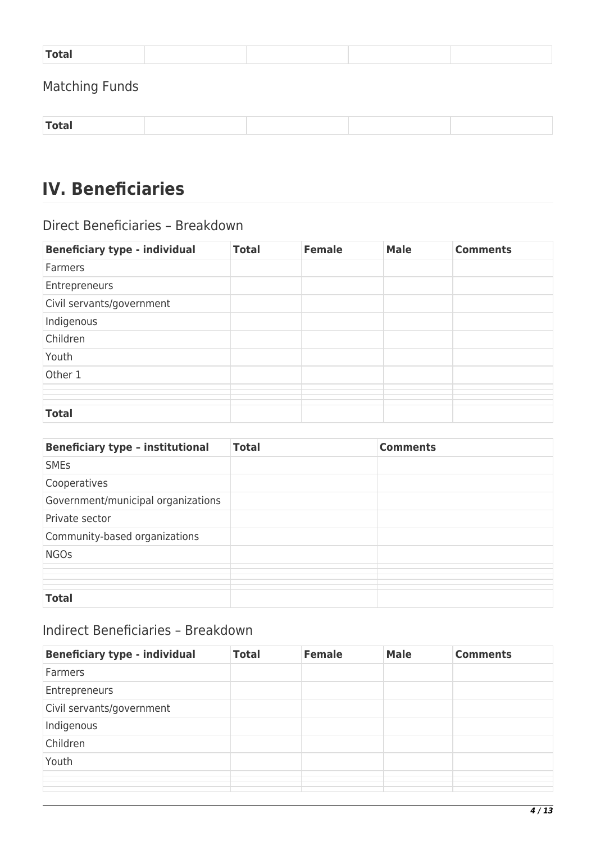| $T$ otal $T$<br>$-$ - $  -$ |  |  |
|-----------------------------|--|--|
|                             |  |  |

## Matching Funds

| Total |
|-------|
|-------|

# **IV. Beneficiaries**

### Direct Beneficiaries – Breakdown

| <b>Beneficiary type - individual</b> | <b>Total</b> | <b>Female</b> | <b>Male</b> | <b>Comments</b> |
|--------------------------------------|--------------|---------------|-------------|-----------------|
| Farmers                              |              |               |             |                 |
| Entrepreneurs                        |              |               |             |                 |
| Civil servants/government            |              |               |             |                 |
| Indigenous                           |              |               |             |                 |
| Children                             |              |               |             |                 |
| Youth                                |              |               |             |                 |
| Other 1                              |              |               |             |                 |
|                                      |              |               |             |                 |
|                                      |              |               |             |                 |
|                                      |              |               |             |                 |
| <b>Total</b>                         |              |               |             |                 |

| <b>Beneficiary type - institutional</b> | <b>Total</b> | <b>Comments</b> |
|-----------------------------------------|--------------|-----------------|
| <b>SMEs</b>                             |              |                 |
| Cooperatives                            |              |                 |
| Government/municipal organizations      |              |                 |
| Private sector                          |              |                 |
| Community-based organizations           |              |                 |
| <b>NGOs</b>                             |              |                 |
|                                         |              |                 |
|                                         |              |                 |
| <b>Total</b>                            |              |                 |

## Indirect Beneficiaries – Breakdown

| <b>Beneficiary type - individual</b> | <b>Total</b> | <b>Female</b> | <b>Male</b> | <b>Comments</b> |
|--------------------------------------|--------------|---------------|-------------|-----------------|
| Farmers                              |              |               |             |                 |
| Entrepreneurs                        |              |               |             |                 |
| Civil servants/government            |              |               |             |                 |
| Indigenous                           |              |               |             |                 |
| Children                             |              |               |             |                 |
| Youth                                |              |               |             |                 |
|                                      |              |               |             |                 |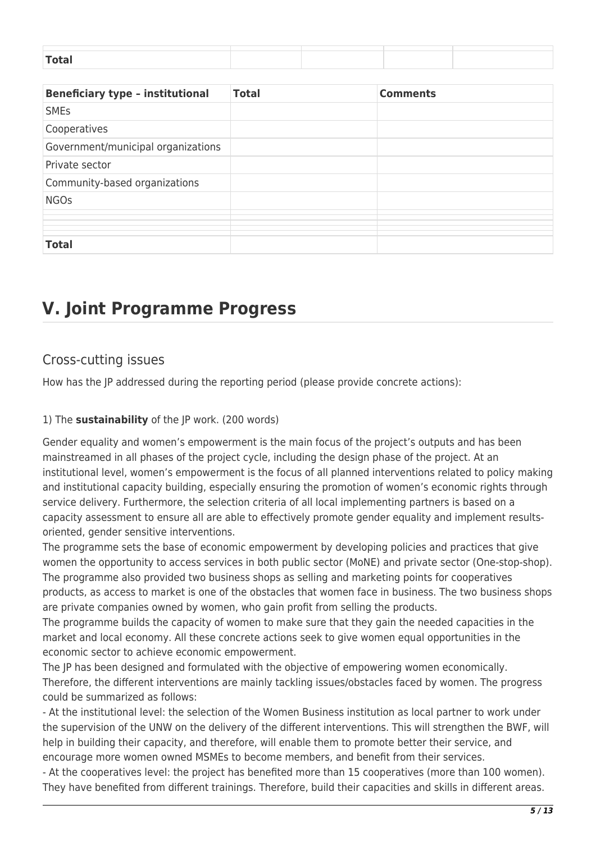| <b>Beneficiary type - institutional</b> | <b>Total</b> | <b>Comments</b> |
|-----------------------------------------|--------------|-----------------|
| <b>SMEs</b>                             |              |                 |
| Cooperatives                            |              |                 |
| Government/municipal organizations      |              |                 |
| Private sector                          |              |                 |
| Community-based organizations           |              |                 |
| <b>NGOs</b>                             |              |                 |
|                                         |              |                 |
|                                         |              |                 |
| <b>Total</b>                            |              |                 |

## **V. Joint Programme Progress**

### Cross-cutting issues

How has the JP addressed during the reporting period (please provide concrete actions):

### 1) The **sustainability** of the JP work. (200 words)

Gender equality and women's empowerment is the main focus of the project's outputs and has been mainstreamed in all phases of the project cycle, including the design phase of the project. At an institutional level, women's empowerment is the focus of all planned interventions related to policy making and institutional capacity building, especially ensuring the promotion of women's economic rights through service delivery. Furthermore, the selection criteria of all local implementing partners is based on a capacity assessment to ensure all are able to effectively promote gender equality and implement resultsoriented, gender sensitive interventions.

The programme sets the base of economic empowerment by developing policies and practices that give women the opportunity to access services in both public sector (MoNE) and private sector (One-stop-shop). The programme also provided two business shops as selling and marketing points for cooperatives products, as access to market is one of the obstacles that women face in business. The two business shops are private companies owned by women, who gain profit from selling the products.

The programme builds the capacity of women to make sure that they gain the needed capacities in the market and local economy. All these concrete actions seek to give women equal opportunities in the economic sector to achieve economic empowerment.

The JP has been designed and formulated with the objective of empowering women economically. Therefore, the different interventions are mainly tackling issues/obstacles faced by women. The progress could be summarized as follows:

- At the institutional level: the selection of the Women Business institution as local partner to work under the supervision of the UNW on the delivery of the different interventions. This will strengthen the BWF, will help in building their capacity, and therefore, will enable them to promote better their service, and encourage more women owned MSMEs to become members, and benefit from their services.

- At the cooperatives level: the project has benefited more than 15 cooperatives (more than 100 women). They have benefited from different trainings. Therefore, build their capacities and skills in different areas.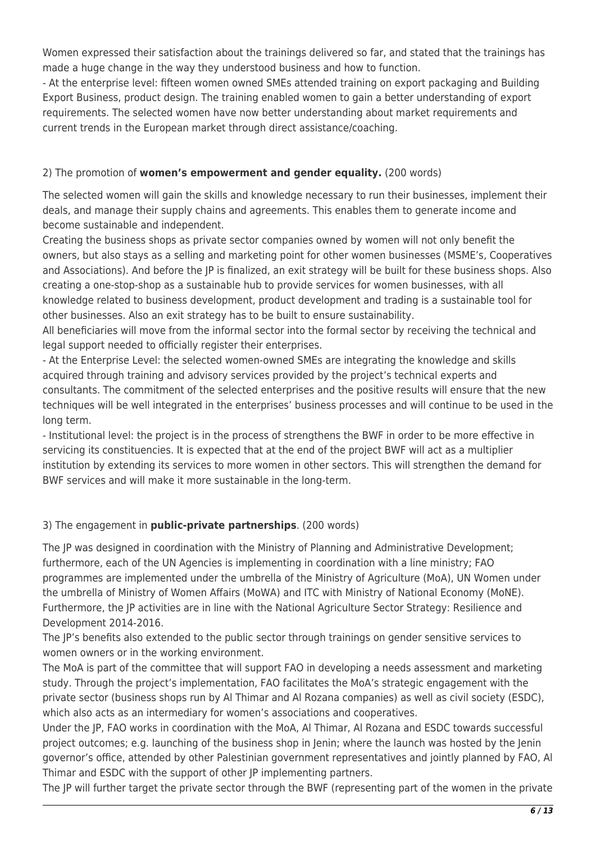Women expressed their satisfaction about the trainings delivered so far, and stated that the trainings has made a huge change in the way they understood business and how to function.

- At the enterprise level: fifteen women owned SMEs attended training on export packaging and Building Export Business, product design. The training enabled women to gain a better understanding of export requirements. The selected women have now better understanding about market requirements and current trends in the European market through direct assistance/coaching.

### 2) The promotion of **women's empowerment and gender equality.** (200 words)

The selected women will gain the skills and knowledge necessary to run their businesses, implement their deals, and manage their supply chains and agreements. This enables them to generate income and become sustainable and independent.

Creating the business shops as private sector companies owned by women will not only benefit the owners, but also stays as a selling and marketing point for other women businesses (MSME's, Cooperatives and Associations). And before the JP is finalized, an exit strategy will be built for these business shops. Also creating a one-stop-shop as a sustainable hub to provide services for women businesses, with all knowledge related to business development, product development and trading is a sustainable tool for other businesses. Also an exit strategy has to be built to ensure sustainability.

All beneficiaries will move from the informal sector into the formal sector by receiving the technical and legal support needed to officially register their enterprises.

- At the Enterprise Level: the selected women-owned SMEs are integrating the knowledge and skills acquired through training and advisory services provided by the project's technical experts and consultants. The commitment of the selected enterprises and the positive results will ensure that the new techniques will be well integrated in the enterprises' business processes and will continue to be used in the long term.

- Institutional level: the project is in the process of strengthens the BWF in order to be more effective in servicing its constituencies. It is expected that at the end of the project BWF will act as a multiplier institution by extending its services to more women in other sectors. This will strengthen the demand for BWF services and will make it more sustainable in the long-term.

### 3) The engagement in **public-private partnerships**. (200 words)

The JP was designed in coordination with the Ministry of Planning and Administrative Development; furthermore, each of the UN Agencies is implementing in coordination with a line ministry; FAO programmes are implemented under the umbrella of the Ministry of Agriculture (MoA), UN Women under the umbrella of Ministry of Women Affairs (MoWA) and ITC with Ministry of National Economy (MoNE). Furthermore, the JP activities are in line with the National Agriculture Sector Strategy: Resilience and Development 2014-2016.

The JP's benefits also extended to the public sector through trainings on gender sensitive services to women owners or in the working environment.

The MoA is part of the committee that will support FAO in developing a needs assessment and marketing study. Through the project's implementation, FAO facilitates the MoA's strategic engagement with the private sector (business shops run by Al Thimar and Al Rozana companies) as well as civil society (ESDC), which also acts as an intermediary for women's associations and cooperatives.

Under the JP, FAO works in coordination with the MoA, Al Thimar, Al Rozana and ESDC towards successful project outcomes; e.g. launching of the business shop in Jenin; where the launch was hosted by the Jenin governor's office, attended by other Palestinian government representatives and jointly planned by FAO, Al Thimar and ESDC with the support of other JP implementing partners.

The JP will further target the private sector through the BWF (representing part of the women in the private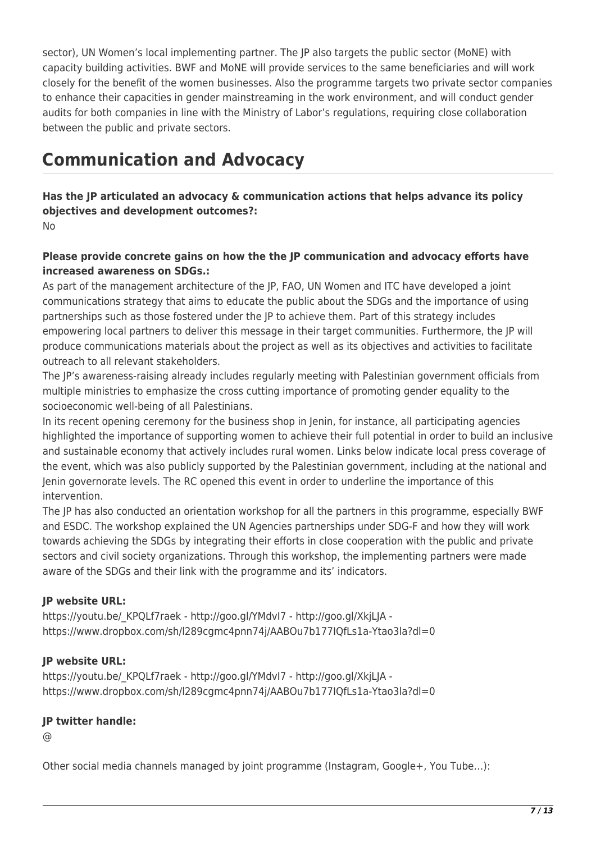sector), UN Women's local implementing partner. The JP also targets the public sector (MoNE) with capacity building activities. BWF and MoNE will provide services to the same beneficiaries and will work closely for the benefit of the women businesses. Also the programme targets two private sector companies to enhance their capacities in gender mainstreaming in the work environment, and will conduct gender audits for both companies in line with the Ministry of Labor's regulations, requiring close collaboration between the public and private sectors.

# **Communication and Advocacy**

**Has the JP articulated an advocacy & communication actions that helps advance its policy objectives and development outcomes?:**  No

### **Please provide concrete gains on how the the JP communication and advocacy efforts have increased awareness on SDGs.:**

As part of the management architecture of the JP, FAO, UN Women and ITC have developed a joint communications strategy that aims to educate the public about the SDGs and the importance of using partnerships such as those fostered under the JP to achieve them. Part of this strategy includes empowering local partners to deliver this message in their target communities. Furthermore, the JP will produce communications materials about the project as well as its objectives and activities to facilitate outreach to all relevant stakeholders.

The JP's awareness-raising already includes regularly meeting with Palestinian government officials from multiple ministries to emphasize the cross cutting importance of promoting gender equality to the socioeconomic well-being of all Palestinians.

In its recent opening ceremony for the business shop in Jenin, for instance, all participating agencies highlighted the importance of supporting women to achieve their full potential in order to build an inclusive and sustainable economy that actively includes rural women. Links below indicate local press coverage of the event, which was also publicly supported by the Palestinian government, including at the national and Jenin governorate levels. The RC opened this event in order to underline the importance of this intervention.

The JP has also conducted an orientation workshop for all the partners in this programme, especially BWF and ESDC. The workshop explained the UN Agencies partnerships under SDG-F and how they will work towards achieving the SDGs by integrating their efforts in close cooperation with the public and private sectors and civil society organizations. Through this workshop, the implementing partners were made aware of the SDGs and their link with the programme and its' indicators.

### **JP website URL:**

https://youtu.be/ KPQLf7raek - http://goo.gl/YMdvI7 - http://goo.gl/XkjLJA https://www.dropbox.com/sh/l289cgmc4pnn74j/AABOu7b177IQfLs1a-Ytao3la?dl=0

### **JP website URL:**

https://youtu.be/ KPQLf7raek - http://goo.gl/YMdvI7 - http://goo.gl/XkjLJA https://www.dropbox.com/sh/l289cgmc4pnn74j/AABOu7b177IQfLs1a-Ytao3la?dl=0

### **JP twitter handle:**

@

Other social media channels managed by joint programme (Instagram, Google+, You Tube…):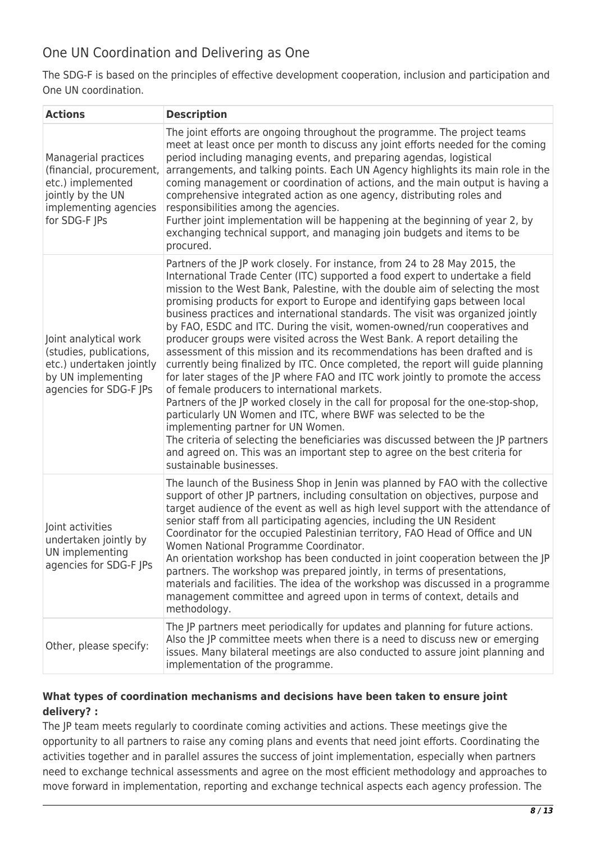## One UN Coordination and Delivering as One

The SDG-F is based on the principles of effective development cooperation, inclusion and participation and One UN coordination.

| <b>Actions</b>                                                                                                                       | <b>Description</b>                                                                                                                                                                                                                                                                                                                                                                                                                                                                                                                                                                                                                                                                                                                                                                                                                                                                                                                                                                                                                                                                                                                                                                                                                                                         |
|--------------------------------------------------------------------------------------------------------------------------------------|----------------------------------------------------------------------------------------------------------------------------------------------------------------------------------------------------------------------------------------------------------------------------------------------------------------------------------------------------------------------------------------------------------------------------------------------------------------------------------------------------------------------------------------------------------------------------------------------------------------------------------------------------------------------------------------------------------------------------------------------------------------------------------------------------------------------------------------------------------------------------------------------------------------------------------------------------------------------------------------------------------------------------------------------------------------------------------------------------------------------------------------------------------------------------------------------------------------------------------------------------------------------------|
| Managerial practices<br>(financial, procurement,<br>etc.) implemented<br>jointly by the UN<br>implementing agencies<br>for SDG-F JPs | The joint efforts are ongoing throughout the programme. The project teams<br>meet at least once per month to discuss any joint efforts needed for the coming<br>period including managing events, and preparing agendas, logistical<br>arrangements, and talking points. Each UN Agency highlights its main role in the<br>coming management or coordination of actions, and the main output is having a<br>comprehensive integrated action as one agency, distributing roles and<br>responsibilities among the agencies.<br>Further joint implementation will be happening at the beginning of year 2, by<br>exchanging technical support, and managing join budgets and items to be<br>procured.                                                                                                                                                                                                                                                                                                                                                                                                                                                                                                                                                                         |
| Joint analytical work<br>(studies, publications,<br>etc.) undertaken jointly<br>by UN implementing<br>agencies for SDG-F JPs         | Partners of the JP work closely. For instance, from 24 to 28 May 2015, the<br>International Trade Center (ITC) supported a food expert to undertake a field<br>mission to the West Bank, Palestine, with the double aim of selecting the most<br>promising products for export to Europe and identifying gaps between local<br>business practices and international standards. The visit was organized jointly<br>by FAO, ESDC and ITC. During the visit, women-owned/run cooperatives and<br>producer groups were visited across the West Bank. A report detailing the<br>assessment of this mission and its recommendations has been drafted and is<br>currently being finalized by ITC. Once completed, the report will guide planning<br>for later stages of the JP where FAO and ITC work jointly to promote the access<br>of female producers to international markets.<br>Partners of the JP worked closely in the call for proposal for the one-stop-shop,<br>particularly UN Women and ITC, where BWF was selected to be the<br>implementing partner for UN Women.<br>The criteria of selecting the beneficiaries was discussed between the JP partners<br>and agreed on. This was an important step to agree on the best criteria for<br>sustainable businesses. |
| Joint activities<br>undertaken jointly by<br>UN implementing<br>agencies for SDG-F JPs                                               | The launch of the Business Shop in Jenin was planned by FAO with the collective<br>support of other JP partners, including consultation on objectives, purpose and<br>target audience of the event as well as high level support with the attendance of<br>senior staff from all participating agencies, including the UN Resident<br>Coordinator for the occupied Palestinian territory, FAO Head of Office and UN<br>Women National Programme Coordinator.<br>An orientation workshop has been conducted in joint cooperation between the JP<br>partners. The workshop was prepared jointly, in terms of presentations,<br>materials and facilities. The idea of the workshop was discussed in a programme<br>management committee and agreed upon in terms of context, details and<br>methodology.                                                                                                                                                                                                                                                                                                                                                                                                                                                                      |
| Other, please specify:                                                                                                               | The JP partners meet periodically for updates and planning for future actions.<br>Also the JP committee meets when there is a need to discuss new or emerging<br>issues. Many bilateral meetings are also conducted to assure joint planning and<br>implementation of the programme.                                                                                                                                                                                                                                                                                                                                                                                                                                                                                                                                                                                                                                                                                                                                                                                                                                                                                                                                                                                       |

### **What types of coordination mechanisms and decisions have been taken to ensure joint delivery? :**

The JP team meets regularly to coordinate coming activities and actions. These meetings give the opportunity to all partners to raise any coming plans and events that need joint efforts. Coordinating the activities together and in parallel assures the success of joint implementation, especially when partners need to exchange technical assessments and agree on the most efficient methodology and approaches to move forward in implementation, reporting and exchange technical aspects each agency profession. The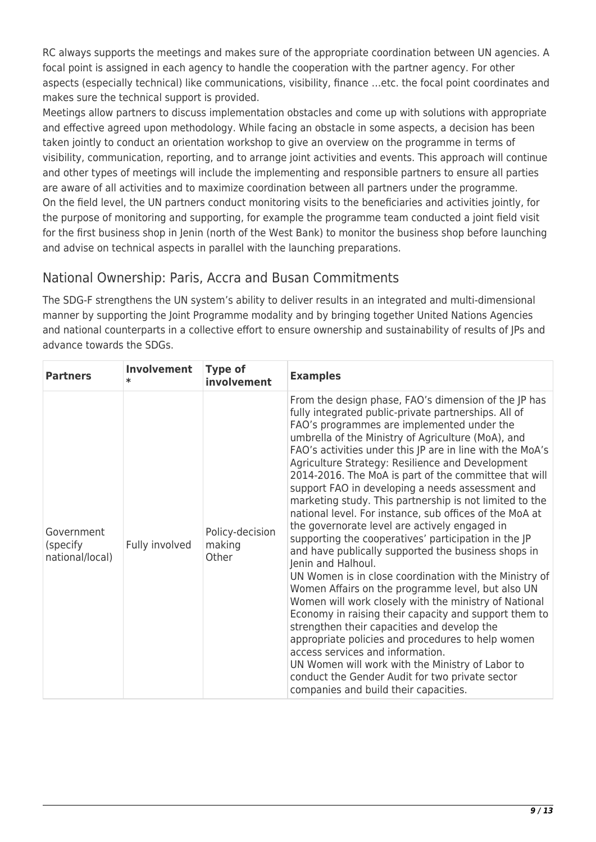RC always supports the meetings and makes sure of the appropriate coordination between UN agencies. A focal point is assigned in each agency to handle the cooperation with the partner agency. For other aspects (especially technical) like communications, visibility, finance …etc. the focal point coordinates and makes sure the technical support is provided.

Meetings allow partners to discuss implementation obstacles and come up with solutions with appropriate and effective agreed upon methodology. While facing an obstacle in some aspects, a decision has been taken jointly to conduct an orientation workshop to give an overview on the programme in terms of visibility, communication, reporting, and to arrange joint activities and events. This approach will continue and other types of meetings will include the implementing and responsible partners to ensure all parties are aware of all activities and to maximize coordination between all partners under the programme. On the field level, the UN partners conduct monitoring visits to the beneficiaries and activities jointly, for the purpose of monitoring and supporting, for example the programme team conducted a joint field visit for the first business shop in Jenin (north of the West Bank) to monitor the business shop before launching and advise on technical aspects in parallel with the launching preparations.

## National Ownership: Paris, Accra and Busan Commitments

The SDG-F strengthens the UN system's ability to deliver results in an integrated and multi-dimensional manner by supporting the Joint Programme modality and by bringing together United Nations Agencies and national counterparts in a collective effort to ensure ownership and sustainability of results of JPs and advance towards the SDGs.

| <b>Partners</b>                            | Involvement    | <b>Type of</b><br>involvement      | <b>Examples</b>                                                                                                                                                                                                                                                                                                                                                                                                                                                                                                                                                                                                                                                                                                                                                                                                                                                                                                                                                                                                                                                                                                                                                                                                                                                                     |
|--------------------------------------------|----------------|------------------------------------|-------------------------------------------------------------------------------------------------------------------------------------------------------------------------------------------------------------------------------------------------------------------------------------------------------------------------------------------------------------------------------------------------------------------------------------------------------------------------------------------------------------------------------------------------------------------------------------------------------------------------------------------------------------------------------------------------------------------------------------------------------------------------------------------------------------------------------------------------------------------------------------------------------------------------------------------------------------------------------------------------------------------------------------------------------------------------------------------------------------------------------------------------------------------------------------------------------------------------------------------------------------------------------------|
| Government<br>(specify)<br>national/local) | Fully involved | Policy-decision<br>making<br>Other | From the design phase, FAO's dimension of the JP has<br>fully integrated public-private partnerships. All of<br>FAO's programmes are implemented under the<br>umbrella of the Ministry of Agriculture (MoA), and<br>FAO's activities under this JP are in line with the MoA's<br>Agriculture Strategy: Resilience and Development<br>2014-2016. The MoA is part of the committee that will<br>support FAO in developing a needs assessment and<br>marketing study. This partnership is not limited to the<br>national level. For instance, sub offices of the MoA at<br>the governorate level are actively engaged in<br>supporting the cooperatives' participation in the JP<br>and have publically supported the business shops in<br>Jenin and Halhoul.<br>UN Women is in close coordination with the Ministry of<br>Women Affairs on the programme level, but also UN<br>Women will work closely with the ministry of National<br>Economy in raising their capacity and support them to<br>strengthen their capacities and develop the<br>appropriate policies and procedures to help women<br>access services and information.<br>UN Women will work with the Ministry of Labor to<br>conduct the Gender Audit for two private sector<br>companies and build their capacities. |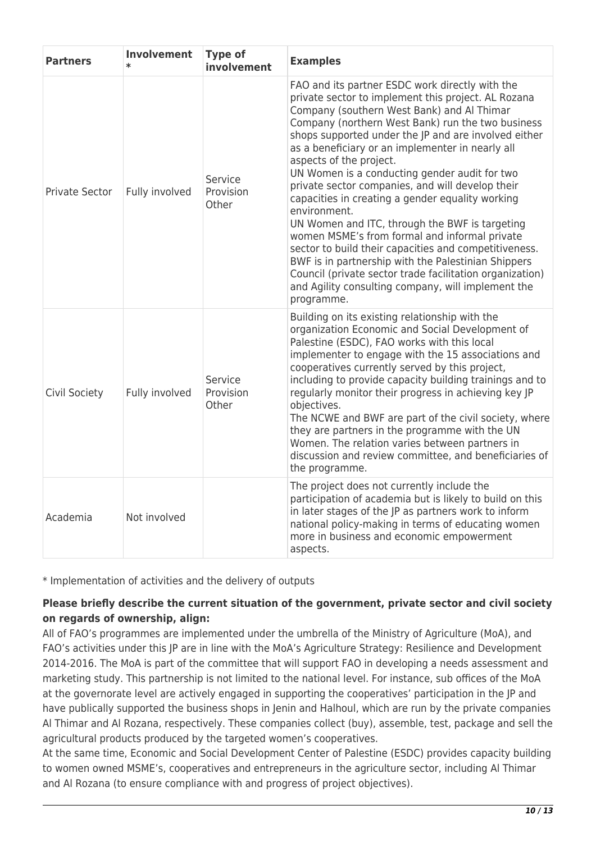| <b>Partners</b>       | <b>Involvement</b><br>$\star$ | <b>Type of</b><br>involvement        | <b>Examples</b>                                                                                                                                                                                                                                                                                                                                                                                                                                                                                                                                                                                                                                                                                                                                                                                                                                                              |
|-----------------------|-------------------------------|--------------------------------------|------------------------------------------------------------------------------------------------------------------------------------------------------------------------------------------------------------------------------------------------------------------------------------------------------------------------------------------------------------------------------------------------------------------------------------------------------------------------------------------------------------------------------------------------------------------------------------------------------------------------------------------------------------------------------------------------------------------------------------------------------------------------------------------------------------------------------------------------------------------------------|
| <b>Private Sector</b> | Fully involved                | Service<br><b>Provision</b><br>Other | FAO and its partner ESDC work directly with the<br>private sector to implement this project. AL Rozana<br>Company (southern West Bank) and Al Thimar<br>Company (northern West Bank) run the two business<br>shops supported under the JP and are involved either<br>as a beneficiary or an implementer in nearly all<br>aspects of the project.<br>UN Women is a conducting gender audit for two<br>private sector companies, and will develop their<br>capacities in creating a gender equality working<br>environment.<br>UN Women and ITC, through the BWF is targeting<br>women MSME's from formal and informal private<br>sector to build their capacities and competitiveness.<br>BWF is in partnership with the Palestinian Shippers<br>Council (private sector trade facilitation organization)<br>and Agility consulting company, will implement the<br>programme. |
| Civil Society         | Fully involved                | Service<br>Provision<br>Other        | Building on its existing relationship with the<br>organization Economic and Social Development of<br>Palestine (ESDC), FAO works with this local<br>implementer to engage with the 15 associations and<br>cooperatives currently served by this project,<br>including to provide capacity building trainings and to<br>regularly monitor their progress in achieving key JP<br>objectives.<br>The NCWE and BWF are part of the civil society, where<br>they are partners in the programme with the UN<br>Women. The relation varies between partners in<br>discussion and review committee, and beneficiaries of<br>the programme.                                                                                                                                                                                                                                           |
| Academia              | Not involved                  |                                      | The project does not currently include the<br>participation of academia but is likely to build on this<br>in later stages of the JP as partners work to inform<br>national policy-making in terms of educating women<br>more in business and economic empowerment<br>aspects.                                                                                                                                                                                                                                                                                                                                                                                                                                                                                                                                                                                                |

\* Implementation of activities and the delivery of outputs

### **Please briefly describe the current situation of the government, private sector and civil society on regards of ownership, align:**

All of FAO's programmes are implemented under the umbrella of the Ministry of Agriculture (MoA), and FAO's activities under this JP are in line with the MoA's Agriculture Strategy: Resilience and Development 2014-2016. The MoA is part of the committee that will support FAO in developing a needs assessment and marketing study. This partnership is not limited to the national level. For instance, sub offices of the MoA at the governorate level are actively engaged in supporting the cooperatives' participation in the JP and have publically supported the business shops in Jenin and Halhoul, which are run by the private companies Al Thimar and Al Rozana, respectively. These companies collect (buy), assemble, test, package and sell the agricultural products produced by the targeted women's cooperatives.

At the same time, Economic and Social Development Center of Palestine (ESDC) provides capacity building to women owned MSME's, cooperatives and entrepreneurs in the agriculture sector, including Al Thimar and Al Rozana (to ensure compliance with and progress of project objectives).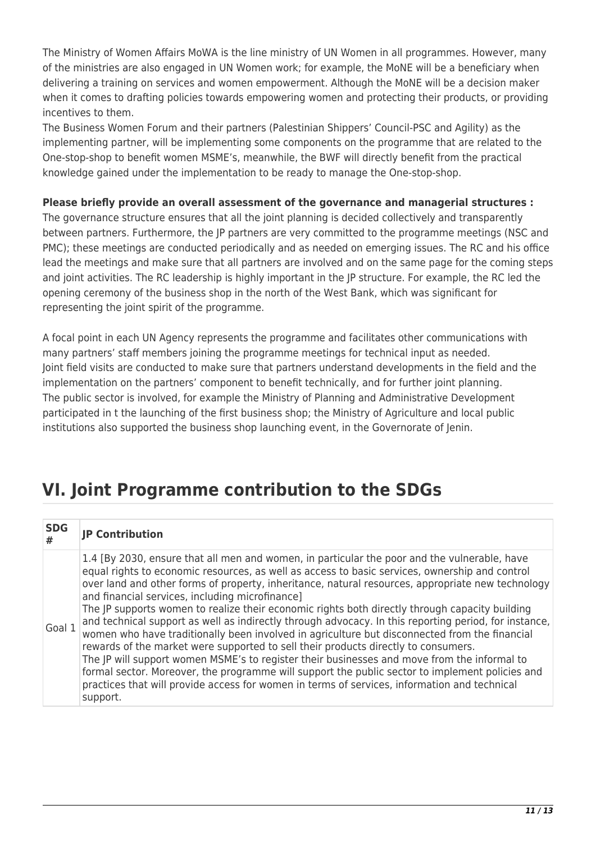The Ministry of Women Affairs MoWA is the line ministry of UN Women in all programmes. However, many of the ministries are also engaged in UN Women work; for example, the MoNE will be a beneficiary when delivering a training on services and women empowerment. Although the MoNE will be a decision maker when it comes to drafting policies towards empowering women and protecting their products, or providing incentives to them.

The Business Women Forum and their partners (Palestinian Shippers' Council-PSC and Agility) as the implementing partner, will be implementing some components on the programme that are related to the One-stop-shop to benefit women MSME's, meanwhile, the BWF will directly benefit from the practical knowledge gained under the implementation to be ready to manage the One-stop-shop.

### **Please briefly provide an overall assessment of the governance and managerial structures :**

The governance structure ensures that all the joint planning is decided collectively and transparently between partners. Furthermore, the JP partners are very committed to the programme meetings (NSC and PMC); these meetings are conducted periodically and as needed on emerging issues. The RC and his office lead the meetings and make sure that all partners are involved and on the same page for the coming steps and joint activities. The RC leadership is highly important in the JP structure. For example, the RC led the opening ceremony of the business shop in the north of the West Bank, which was significant for representing the joint spirit of the programme.

A focal point in each UN Agency represents the programme and facilitates other communications with many partners' staff members joining the programme meetings for technical input as needed. Joint field visits are conducted to make sure that partners understand developments in the field and the implementation on the partners' component to benefit technically, and for further joint planning. The public sector is involved, for example the Ministry of Planning and Administrative Development participated in t the launching of the first business shop; the Ministry of Agriculture and local public institutions also supported the business shop launching event, in the Governorate of Jenin.

# **VI. Joint Programme contribution to the SDGs**

| <b>SDG</b><br># | <b>JP Contribution</b>                                                                                                                                                                                                                                                                                                                                                                                                                                                                                                                                                                                                                                                                                                                                                                                                                                                                                                                                                                                                                                                 |
|-----------------|------------------------------------------------------------------------------------------------------------------------------------------------------------------------------------------------------------------------------------------------------------------------------------------------------------------------------------------------------------------------------------------------------------------------------------------------------------------------------------------------------------------------------------------------------------------------------------------------------------------------------------------------------------------------------------------------------------------------------------------------------------------------------------------------------------------------------------------------------------------------------------------------------------------------------------------------------------------------------------------------------------------------------------------------------------------------|
| Goal 1          | 1.4 [By 2030, ensure that all men and women, in particular the poor and the vulnerable, have<br>equal rights to economic resources, as well as access to basic services, ownership and control<br>over land and other forms of property, inheritance, natural resources, appropriate new technology<br>and financial services, including microfinance]<br>The JP supports women to realize their economic rights both directly through capacity building<br>and technical support as well as indirectly through advocacy. In this reporting period, for instance,<br>women who have traditionally been involved in agriculture but disconnected from the financial<br>rewards of the market were supported to sell their products directly to consumers.<br>The JP will support women MSME's to register their businesses and move from the informal to<br>formal sector. Moreover, the programme will support the public sector to implement policies and<br>practices that will provide access for women in terms of services, information and technical<br>support. |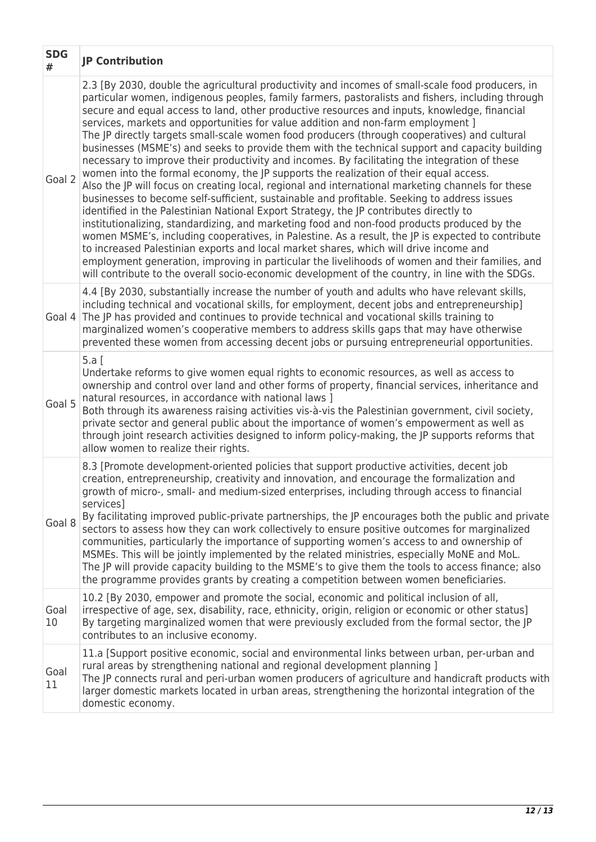| <b>SDG</b><br># | <b>JP Contribution</b>                                                                                                                                                                                                                                                                                                                                                                                                                                                                                                                                                                                                                                                                                                                                                                                                                                                                                                                                                                                                                                                                                                                                                                                                                                                                                                                                                                                                                                                                                                                                                                  |
|-----------------|-----------------------------------------------------------------------------------------------------------------------------------------------------------------------------------------------------------------------------------------------------------------------------------------------------------------------------------------------------------------------------------------------------------------------------------------------------------------------------------------------------------------------------------------------------------------------------------------------------------------------------------------------------------------------------------------------------------------------------------------------------------------------------------------------------------------------------------------------------------------------------------------------------------------------------------------------------------------------------------------------------------------------------------------------------------------------------------------------------------------------------------------------------------------------------------------------------------------------------------------------------------------------------------------------------------------------------------------------------------------------------------------------------------------------------------------------------------------------------------------------------------------------------------------------------------------------------------------|
| Goal 2          | 2.3 [By 2030, double the agricultural productivity and incomes of small-scale food producers, in<br>particular women, indigenous peoples, family farmers, pastoralists and fishers, including through<br>secure and equal access to land, other productive resources and inputs, knowledge, financial<br>services, markets and opportunities for value addition and non-farm employment ]<br>The JP directly targets small-scale women food producers (through cooperatives) and cultural<br>businesses (MSME's) and seeks to provide them with the technical support and capacity building<br>necessary to improve their productivity and incomes. By facilitating the integration of these<br>women into the formal economy, the JP supports the realization of their equal access.<br>Also the JP will focus on creating local, regional and international marketing channels for these<br>businesses to become self-sufficient, sustainable and profitable. Seeking to address issues<br>identified in the Palestinian National Export Strategy, the JP contributes directly to<br>institutionalizing, standardizing, and marketing food and non-food products produced by the<br>women MSME's, including cooperatives, in Palestine. As a result, the JP is expected to contribute<br>to increased Palestinian exports and local market shares, which will drive income and<br>employment generation, improving in particular the livelihoods of women and their families, and<br>will contribute to the overall socio-economic development of the country, in line with the SDGs. |
| Goal 4          | 4.4 [By 2030, substantially increase the number of youth and adults who have relevant skills,<br>including technical and vocational skills, for employment, decent jobs and entrepreneurship]<br>The JP has provided and continues to provide technical and vocational skills training to<br>marginalized women's cooperative members to address skills gaps that may have otherwise<br>prevented these women from accessing decent jobs or pursuing entrepreneurial opportunities.                                                                                                                                                                                                                                                                                                                                                                                                                                                                                                                                                                                                                                                                                                                                                                                                                                                                                                                                                                                                                                                                                                     |
| Goal 5          | 5.a [<br>Undertake reforms to give women equal rights to economic resources, as well as access to<br>ownership and control over land and other forms of property, financial services, inheritance and<br>natural resources, in accordance with national laws ]<br>Both through its awareness raising activities vis-à-vis the Palestinian government, civil society,<br>private sector and general public about the importance of women's empowerment as well as<br>through joint research activities designed to inform policy-making, the JP supports reforms that<br>allow women to realize their rights.                                                                                                                                                                                                                                                                                                                                                                                                                                                                                                                                                                                                                                                                                                                                                                                                                                                                                                                                                                            |
| Goal 8          | 8.3 [Promote development-oriented policies that support productive activities, decent job<br>creation, entrepreneurship, creativity and innovation, and encourage the formalization and<br>growth of micro-, small- and medium-sized enterprises, including through access to financial<br>services]<br>By facilitating improved public-private partnerships, the JP encourages both the public and private<br>sectors to assess how they can work collectively to ensure positive outcomes for marginalized<br>communities, particularly the importance of supporting women's access to and ownership of<br>MSMEs. This will be jointly implemented by the related ministries, especially MoNE and MoL.<br>The JP will provide capacity building to the MSME's to give them the tools to access finance; also<br>the programme provides grants by creating a competition between women beneficiaries.                                                                                                                                                                                                                                                                                                                                                                                                                                                                                                                                                                                                                                                                                  |
| Goal<br>10      | 10.2 [By 2030, empower and promote the social, economic and political inclusion of all,<br>irrespective of age, sex, disability, race, ethnicity, origin, religion or economic or other status]<br>By targeting marginalized women that were previously excluded from the formal sector, the JP<br>contributes to an inclusive economy.                                                                                                                                                                                                                                                                                                                                                                                                                                                                                                                                                                                                                                                                                                                                                                                                                                                                                                                                                                                                                                                                                                                                                                                                                                                 |
| Goal<br>11      | 11.a [Support positive economic, social and environmental links between urban, per-urban and<br>rural areas by strengthening national and regional development planning ]<br>The JP connects rural and peri-urban women producers of agriculture and handicraft products with<br>larger domestic markets located in urban areas, strengthening the horizontal integration of the<br>domestic economy.                                                                                                                                                                                                                                                                                                                                                                                                                                                                                                                                                                                                                                                                                                                                                                                                                                                                                                                                                                                                                                                                                                                                                                                   |